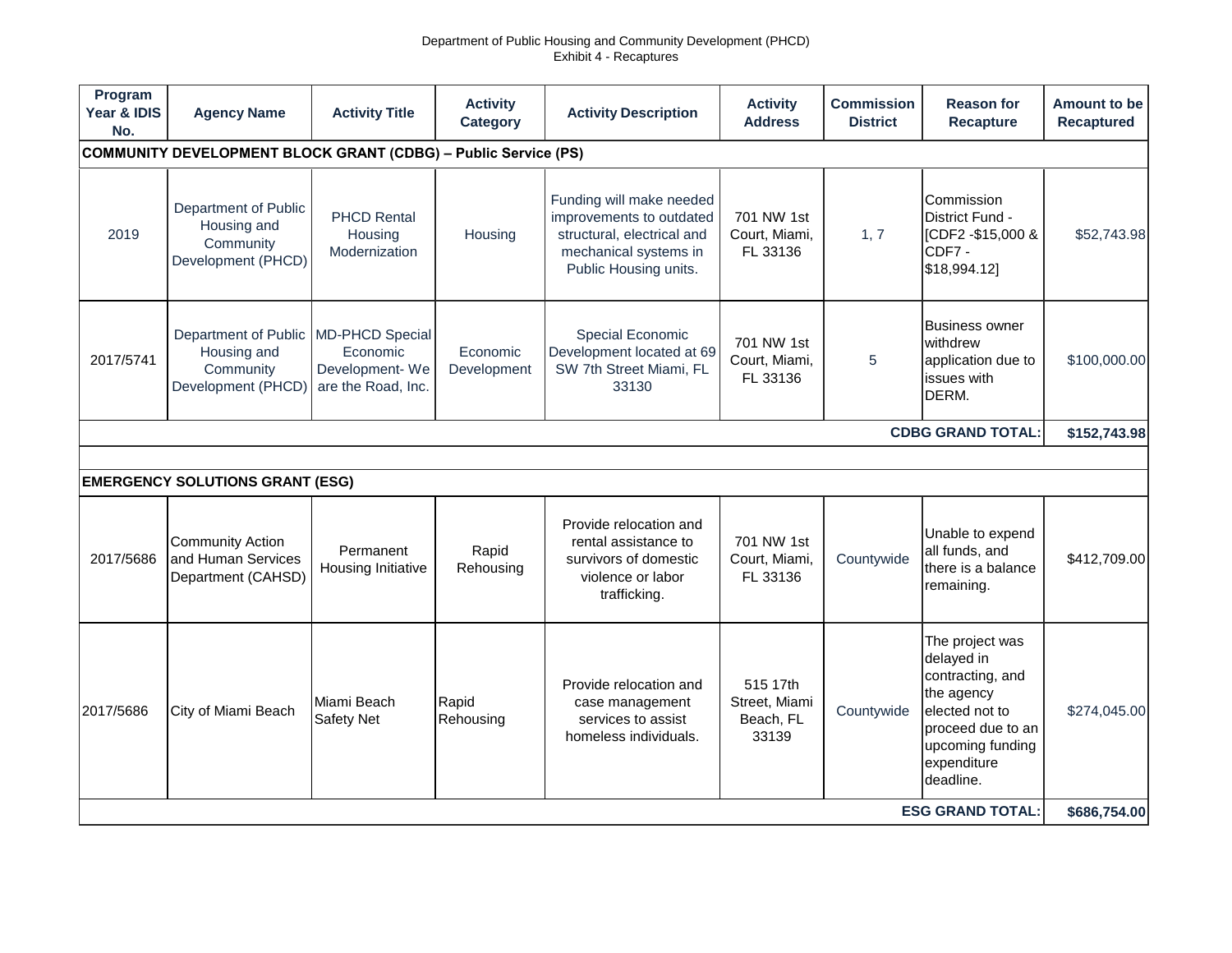## Department of Public Housing and Community Development (PHCD) Exhibit 4 - Recaptures

| Program<br>Year & IDIS<br>No.                                         | <b>Agency Name</b>                                                     | <b>Activity Title</b>                                                      | <b>Activity</b><br><b>Category</b> | <b>Activity Description</b>                                                                                                                 | <b>Activity</b><br><b>Address</b>       | <b>Commission</b><br><b>District</b> | <b>Reason for</b><br><b>Recapture</b>                                                                                                                  | <b>Amount to be</b><br><b>Recaptured</b> |  |  |
|-----------------------------------------------------------------------|------------------------------------------------------------------------|----------------------------------------------------------------------------|------------------------------------|---------------------------------------------------------------------------------------------------------------------------------------------|-----------------------------------------|--------------------------------------|--------------------------------------------------------------------------------------------------------------------------------------------------------|------------------------------------------|--|--|
| <b>COMMUNITY DEVELOPMENT BLOCK GRANT (CDBG) - Public Service (PS)</b> |                                                                        |                                                                            |                                    |                                                                                                                                             |                                         |                                      |                                                                                                                                                        |                                          |  |  |
| 2019                                                                  | Department of Public<br>Housing and<br>Community<br>Development (PHCD) | <b>PHCD Rental</b><br>Housing<br>Modernization                             | Housing                            | Funding will make needed<br>improvements to outdated<br>structural, electrical and<br>mechanical systems in<br>Public Housing units.        | 701 NW 1st<br>Court, Miami,<br>FL 33136 | 1, 7                                 | Commission<br>District Fund -<br>[CDF2 - \$15,000 &<br>CDF7-<br>\$18,994.12]                                                                           | \$52,743.98                              |  |  |
| 2017/5741                                                             | Department of Public<br>Housing and<br>Community<br>Development (PHCD) | <b>MD-PHCD Special</b><br>Economic<br>Development-We<br>are the Road, Inc. | Economic<br>Development            | Special Economic<br>Development located at 69<br>SW 7th Street Miami, FL<br>33130                                                           | 701 NW 1st<br>Court, Miami,<br>FL 33136 | 5                                    | <b>Business owner</b><br>withdrew<br>application due to<br>issues with<br>DERM.                                                                        | \$100,000.00                             |  |  |
| <b>CDBG GRAND TOTAL:</b>                                              |                                                                        |                                                                            |                                    |                                                                                                                                             |                                         |                                      |                                                                                                                                                        |                                          |  |  |
|                                                                       |                                                                        |                                                                            |                                    |                                                                                                                                             |                                         |                                      |                                                                                                                                                        |                                          |  |  |
|                                                                       | <b>EMERGENCY SOLUTIONS GRANT (ESG)</b>                                 |                                                                            |                                    |                                                                                                                                             |                                         |                                      |                                                                                                                                                        |                                          |  |  |
| 2017/5686                                                             | <b>Community Action</b><br>and Human Services<br>Department (CAHSD)    | Permanent<br>Housing Initiative                                            | Rapid<br>Rehousing                 | Provide relocation and<br>rental assistance to<br>survivors of domestic<br>violence or labor<br>trafficking.                                | 701 NW 1st<br>Court, Miami,<br>FL 33136 | Countywide                           | Unable to expend<br>all funds, and<br>there is a balance<br>remaining.                                                                                 | \$412,709.00                             |  |  |
| 2017/5686                                                             | City of Miami Beach                                                    | Miami Beach<br>Rapid<br>Safety Net<br>Rehousing                            |                                    | Provide relocation and<br>515 17th<br>Street, Miami<br>case management<br>services to assist<br>Beach, FL<br>homeless individuals.<br>33139 |                                         | Countywide                           | The project was<br>delayed in<br>contracting, and<br>the agency<br>elected not to<br>proceed due to an<br>upcoming funding<br>expenditure<br>deadline. | \$274,045.00                             |  |  |
| <b>ESG GRAND TOTAL:</b>                                               |                                                                        |                                                                            |                                    |                                                                                                                                             |                                         |                                      |                                                                                                                                                        |                                          |  |  |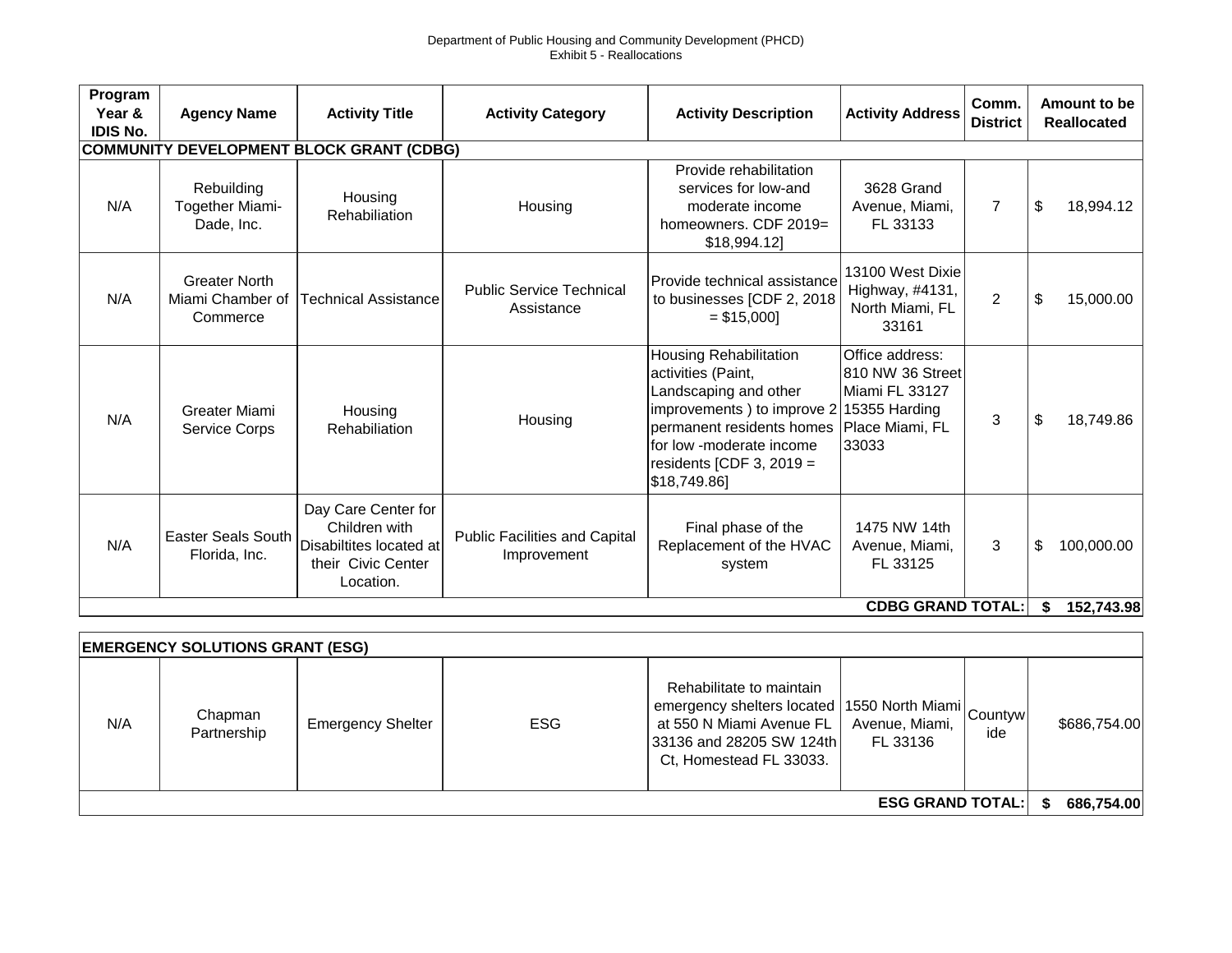## Department of Public Housing and Community Development (PHCD) Exhibit 5 - Reallocations

| Program<br>Year &<br><b>IDIS No.</b>            | <b>Agency Name</b>                                   | <b>Activity Title</b>                                                                              | <b>Activity Category</b>                            | <b>Activity Description</b>                                                                                                                                                                                | <b>Activity Address</b>                                                                            | Comm.<br><b>District</b> | Amount to be<br><b>Reallocated</b> |  |  |  |
|-------------------------------------------------|------------------------------------------------------|----------------------------------------------------------------------------------------------------|-----------------------------------------------------|------------------------------------------------------------------------------------------------------------------------------------------------------------------------------------------------------------|----------------------------------------------------------------------------------------------------|--------------------------|------------------------------------|--|--|--|
| <b>COMMUNITY DEVELOPMENT BLOCK GRANT (CDBG)</b> |                                                      |                                                                                                    |                                                     |                                                                                                                                                                                                            |                                                                                                    |                          |                                    |  |  |  |
| N/A                                             | Rebuilding<br>Together Miami-<br>Dade, Inc.          | Housing<br>Rehabiliation                                                                           | Housing                                             | Provide rehabilitation<br>services for low-and<br>moderate income<br>homeowners. CDF 2019=<br>\$18,994.12]                                                                                                 | 3628 Grand<br>Avenue, Miami,<br>FL 33133                                                           | $\overline{7}$           | \$<br>18,994.12                    |  |  |  |
| N/A                                             | <b>Greater North</b><br>Miami Chamber of<br>Commerce | <b>Technical Assistance</b>                                                                        | <b>Public Service Technical</b><br>Assistance       | Provide technical assistance<br>to businesses [CDF 2, 2018<br>$= $15,000$                                                                                                                                  | 13100 West Dixie<br>Highway, #4131,<br>North Miami, FL<br>33161                                    | $\overline{2}$           | \$<br>15,000.00                    |  |  |  |
| N/A                                             | Greater Miami<br>Service Corps                       | Housing<br>Rehabiliation                                                                           | Housing                                             | Housing Rehabilitation<br>activities (Paint,<br>Landscaping and other<br>improvements) to improve 2<br>permanent residents homes<br>for low -moderate income<br>residents [CDF 3, 2019 $=$<br>\$18,749.86] | Office address:<br>810 NW 36 Street<br>Miami FL 33127<br>15355 Harding<br>Place Miami, FL<br>33033 | 3                        | \$<br>18,749.86                    |  |  |  |
| N/A                                             | <b>Easter Seals South</b><br>Florida, Inc.           | Day Care Center for<br>Children with<br>Disabiltites located at<br>their Civic Center<br>Location. | <b>Public Facilities and Capital</b><br>Improvement | Final phase of the<br>Replacement of the HVAC<br>system                                                                                                                                                    | 1475 NW 14th<br>Avenue, Miami,<br>FL 33125                                                         | 3                        | \$<br>100,000.00<br>152,743.98     |  |  |  |
| <b>CDBG GRAND TOTAL:</b><br>\$                  |                                                      |                                                                                                    |                                                     |                                                                                                                                                                                                            |                                                                                                    |                          |                                    |  |  |  |

| <b>EMERGENCY SOLUTIONS GRANT (ESG)</b> |                        |                          |            |                                                                                                                                        |                            |     |              |  |  |  |
|----------------------------------------|------------------------|--------------------------|------------|----------------------------------------------------------------------------------------------------------------------------------------|----------------------------|-----|--------------|--|--|--|
| N/A                                    | Chapman<br>Partnership | <b>Emergency Shelter</b> | <b>ESG</b> | Rehabilitate to maintain<br>emergency shelters located 1550 North Miami Countyw<br>at 550 N Miami Avenue FL<br>Ct, Homestead FL 33033. | Avenue, Miami,<br>FL 33136 | ide | \$686,754.00 |  |  |  |
| <b>ESG GRAND TOTAL:</b>                |                        |                          |            |                                                                                                                                        |                            |     |              |  |  |  |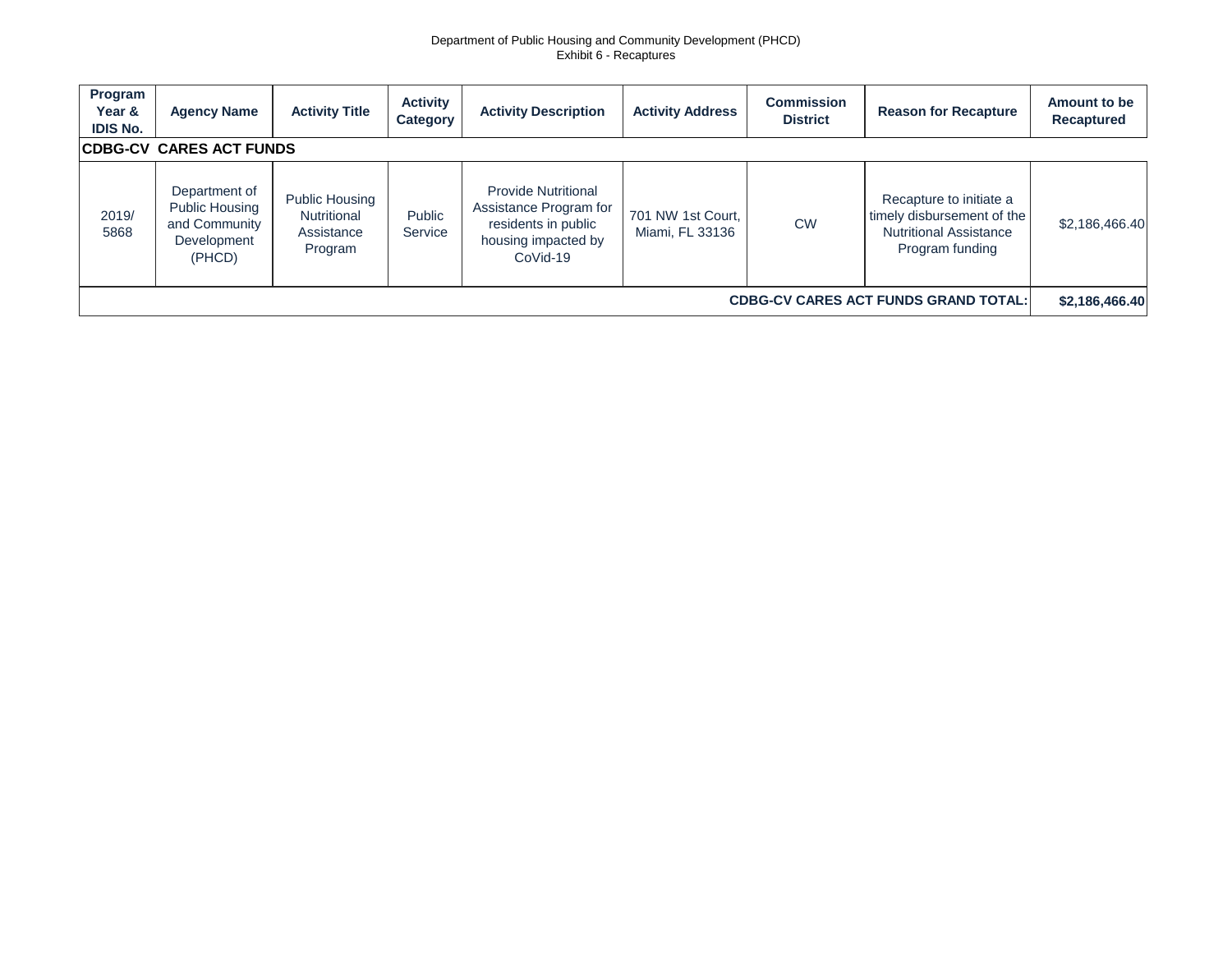## Department of Public Housing and Community Development (PHCD) Exhibit 6 - Recaptures

| Program<br>Year &<br><b>IDIS No.</b>        | <b>Agency Name</b>                                                        | <b>Activity Title</b>                                         | <b>Activity</b><br>Category | <b>Activity Description</b>                                                                                    | <b>Activity Address</b>              | <b>Commission</b><br><b>District</b> | <b>Reason for Recapture</b>                                                                               | Amount to be<br><b>Recaptured</b> |  |  |
|---------------------------------------------|---------------------------------------------------------------------------|---------------------------------------------------------------|-----------------------------|----------------------------------------------------------------------------------------------------------------|--------------------------------------|--------------------------------------|-----------------------------------------------------------------------------------------------------------|-----------------------------------|--|--|
| <b>CDBG-CV_CARES ACT FUNDS</b>              |                                                                           |                                                               |                             |                                                                                                                |                                      |                                      |                                                                                                           |                                   |  |  |
| 2019/<br>5868                               | Department of<br>Public Housing<br>and Community<br>Development<br>(PHCD) | <b>Public Housing</b><br>Nutritional<br>Assistance<br>Program | Public<br>Service           | <b>Provide Nutritional</b><br>Assistance Program for<br>residents in public<br>housing impacted by<br>CoVid-19 | 701 NW 1st Court,<br>Miami, FL 33136 | <b>CW</b>                            | Recapture to initiate a<br>timely disbursement of the<br><b>Nutritional Assistance</b><br>Program funding | \$2,186,466.40                    |  |  |
| <b>CDBG-CV CARES ACT FUNDS GRAND TOTAL:</b> |                                                                           |                                                               |                             |                                                                                                                |                                      |                                      |                                                                                                           |                                   |  |  |